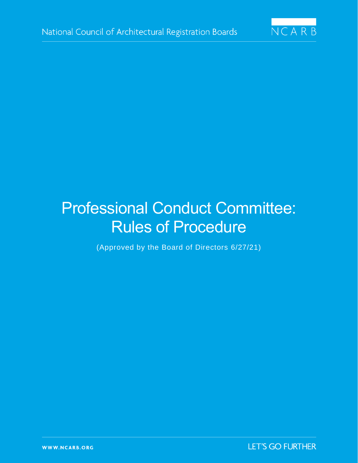

# Professional Conduct Committee: Rules of Procedure

(Approved by the Board of Directors 6/27/21)

**LET'S GO FURTHER**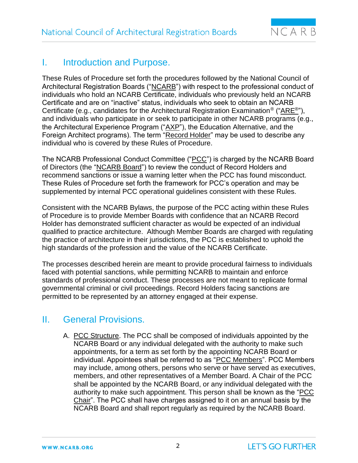

## I. Introduction and Purpose.

These Rules of Procedure set forth the procedures followed by the National Council of Architectural Registration Boards ("NCARB") with respect to the professional conduct of individuals who hold an NCARB Certificate, individuals who previously held an NCARB Certificate and are on "inactive" status, individuals who seek to obtain an NCARB Certificate (e.g., candidates for the Architectural Registration Examination<sup>®</sup> ("ARE<sup>®</sup>"), and individuals who participate in or seek to participate in other NCARB programs (e.g., the Architectural Experience Program ("AXP"), the Education Alternative, and the Foreign Architect programs). The term "Record Holder" may be used to describe any individual who is covered by these Rules of Procedure.

The NCARB Professional Conduct Committee ("PCC") is charged by the NCARB Board of Directors (the "NCARB Board") to review the conduct of Record Holders and recommend sanctions or issue a warning letter when the PCC has found misconduct. These Rules of Procedure set forth the framework for PCC's operation and may be supplemented by internal PCC operational guidelines consistent with these Rules.

Consistent with the NCARB Bylaws, the purpose of the PCC acting within these Rules of Procedure is to provide Member Boards with confidence that an NCARB Record Holder has demonstrated sufficient character as would be expected of an individual qualified to practice architecture. Although Member Boards are charged with regulating the practice of architecture in their jurisdictions, the PCC is established to uphold the high standards of the profession and the value of the NCARB Certificate.

The processes described herein are meant to provide procedural fairness to individuals faced with potential sanctions, while permitting NCARB to maintain and enforce standards of professional conduct. These processes are not meant to replicate formal governmental criminal or civil proceedings. Record Holders facing sanctions are permitted to be represented by an attorney engaged at their expense.

## II. General Provisions.

A. PCC Structure. The PCC shall be composed of individuals appointed by the NCARB Board or any individual delegated with the authority to make such appointments, for a term as set forth by the appointing NCARB Board or individual. Appointees shall be referred to as "PCC Members". PCC Members may include, among others, persons who serve or have served as executives, members, and other representatives of a Member Board. A Chair of the PCC shall be appointed by the NCARB Board, or any individual delegated with the authority to make such appointment. This person shall be known as the "PCC Chair". The PCC shall have charges assigned to it on an annual basis by the NCARB Board and shall report regularly as required by the NCARB Board.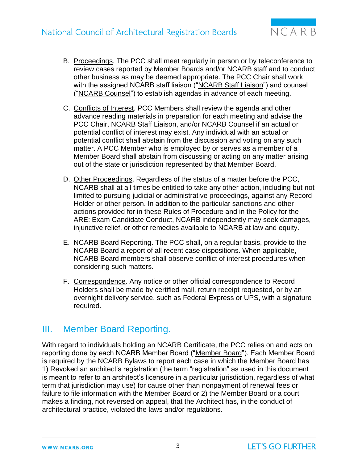

- B. Proceedings. The PCC shall meet regularly in person or by teleconference to review cases reported by Member Boards and/or NCARB staff and to conduct other business as may be deemed appropriate. The PCC Chair shall work with the assigned NCARB staff liaison ("NCARB Staff Liaison") and counsel ("NCARB Counsel") to establish agendas in advance of each meeting.
- C. Conflicts of Interest. PCC Members shall review the agenda and other advance reading materials in preparation for each meeting and advise the PCC Chair, NCARB Staff Liaison, and/or NCARB Counsel if an actual or potential conflict of interest may exist. Any individual with an actual or potential conflict shall abstain from the discussion and voting on any such matter. A PCC Member who is employed by or serves as a member of a Member Board shall abstain from discussing or acting on any matter arising out of the state or jurisdiction represented by that Member Board.
- D. Other Proceedings. Regardless of the status of a matter before the PCC, NCARB shall at all times be entitled to take any other action, including but not limited to pursuing judicial or administrative proceedings, against any Record Holder or other person. In addition to the particular sanctions and other actions provided for in these Rules of Procedure and in the Policy for the ARE: Exam Candidate Conduct, NCARB independently may seek damages, injunctive relief, or other remedies available to NCARB at law and equity.
- E. NCARB Board Reporting. The PCC shall, on a regular basis, provide to the NCARB Board a report of all recent case dispositions. When applicable, NCARB Board members shall observe conflict of interest procedures when considering such matters.
- F. Correspondence. Any notice or other official correspondence to Record Holders shall be made by certified mail, return receipt requested, or by an overnight delivery service, such as Federal Express or UPS, with a signature required.

### III. Member Board Reporting.

With regard to individuals holding an NCARB Certificate, the PCC relies on and acts on reporting done by each NCARB Member Board ("Member Board"). Each Member Board is required by the NCARB Bylaws to report each case in which the Member Board has 1) Revoked an architect's registration (the term "registration" as used in this document is meant to refer to an architect's licensure in a particular jurisdiction, regardless of what term that jurisdiction may use) for cause other than nonpayment of renewal fees or failure to file information with the Member Board or 2) the Member Board or a court makes a finding, not reversed on appeal, that the Architect has, in the conduct of architectural practice, violated the laws and/or regulations.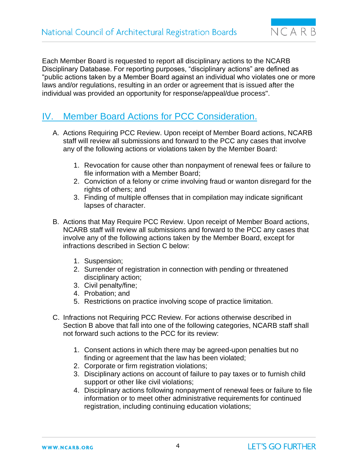

Each Member Board is requested to report all disciplinary actions to the NCARB Disciplinary Database. For reporting purposes, "disciplinary actions" are defined as "public actions taken by a Member Board against an individual who violates one or more laws and/or regulations, resulting in an order or agreement that is issued after the individual was provided an opportunity for response/appeal/due process".

## IV. Member Board Actions for PCC Consideration.

- A. Actions Requiring PCC Review. Upon receipt of Member Board actions, NCARB staff will review all submissions and forward to the PCC any cases that involve any of the following actions or violations taken by the Member Board:
	- 1. Revocation for cause other than nonpayment of renewal fees or failure to file information with a Member Board;
	- 2. Conviction of a felony or crime involving fraud or wanton disregard for the rights of others; and
	- 3. Finding of multiple offenses that in compilation may indicate significant lapses of character.
- B. Actions that May Require PCC Review. Upon receipt of Member Board actions, NCARB staff will review all submissions and forward to the PCC any cases that involve any of the following actions taken by the Member Board, except for infractions described in Section C below:
	- 1. Suspension;
	- 2. Surrender of registration in connection with pending or threatened disciplinary action;
	- 3. Civil penalty/fine;
	- 4. Probation; and
	- 5. Restrictions on practice involving scope of practice limitation.
- C. Infractions not Requiring PCC Review. For actions otherwise described in Section B above that fall into one of the following categories, NCARB staff shall not forward such actions to the PCC for its review:
	- 1. Consent actions in which there may be agreed-upon penalties but no finding or agreement that the law has been violated;
	- 2. Corporate or firm registration violations;
	- 3. Disciplinary actions on account of failure to pay taxes or to furnish child support or other like civil violations;
	- 4. Disciplinary actions following nonpayment of renewal fees or failure to file information or to meet other administrative requirements for continued registration, including continuing education violations;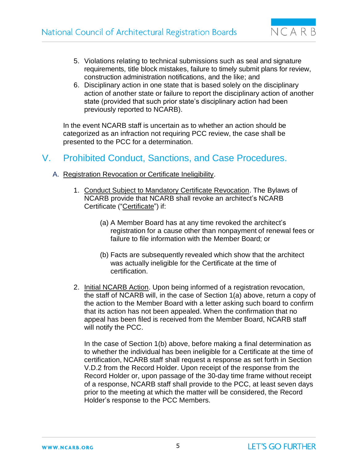

- 5. Violations relating to technical submissions such as seal and signature requirements, title block mistakes, failure to timely submit plans for review, construction administration notifications, and the like; and
- 6. Disciplinary action in one state that is based solely on the disciplinary action of another state or failure to report the disciplinary action of another state (provided that such prior state's disciplinary action had been previously reported to NCARB).

In the event NCARB staff is uncertain as to whether an action should be categorized as an infraction not requiring PCC review, the case shall be presented to the PCC for a determination.

## V. Prohibited Conduct, Sanctions, and Case Procedures.

- A. Registration Revocation or Certificate Ineligibility.
	- 1. Conduct Subject to Mandatory Certificate Revocation. The Bylaws of NCARB provide that NCARB shall revoke an architect's NCARB Certificate ("Certificate") if:
		- (a) A Member Board has at any time revoked the architect's registration for a cause other than nonpayment of renewal fees or failure to file information with the Member Board; or
		- (b) Facts are subsequently revealed which show that the architect was actually ineligible for the Certificate at the time of certification.
	- 2. Initial NCARB Action. Upon being informed of a registration revocation, the staff of NCARB will, in the case of Section 1(a) above, return a copy of the action to the Member Board with a letter asking such board to confirm that its action has not been appealed. When the confirmation that no appeal has been filed is received from the Member Board, NCARB staff will notify the PCC.

In the case of Section 1(b) above, before making a final determination as to whether the individual has been ineligible for a Certificate at the time of certification, NCARB staff shall request a response as set forth in Section V.D.2 from the Record Holder. Upon receipt of the response from the Record Holder or, upon passage of the 30-day time frame without receipt of a response, NCARB staff shall provide to the PCC, at least seven days prior to the meeting at which the matter will be considered, the Record Holder's response to the PCC Members.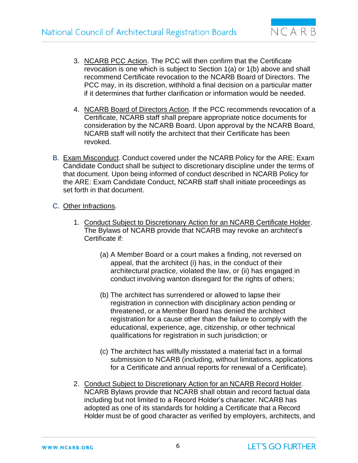

- 3. NCARB PCC Action. The PCC will then confirm that the Certificate revocation is one which is subject to Section 1(a) or 1(b) above and shall recommend Certificate revocation to the NCARB Board of Directors. The PCC may, in its discretion, withhold a final decision on a particular matter if it determines that further clarification or information would be needed.
- 4. NCARB Board of Directors Action. If the PCC recommends revocation of a Certificate, NCARB staff shall prepare appropriate notice documents for consideration by the NCARB Board. Upon approval by the NCARB Board, NCARB staff will notify the architect that their Certificate has been revoked.
- B. Exam Misconduct. Conduct covered under the NCARB Policy for the ARE: Exam Candidate Conduct shall be subject to discretionary discipline under the terms of that document. Upon being informed of conduct described in NCARB Policy for the ARE: Exam Candidate Conduct, NCARB staff shall initiate proceedings as set forth in that document.
- C. Other Infractions.
	- 1. Conduct Subject to Discretionary Action for an NCARB Certificate Holder. The Bylaws of NCARB provide that NCARB may revoke an architect's Certificate if:
		- (a) A Member Board or a court makes a finding, not reversed on appeal, that the architect (i) has, in the conduct of their architectural practice, violated the law, or (ii) has engaged in conduct involving wanton disregard for the rights of others;
		- (b) The architect has surrendered or allowed to lapse their registration in connection with disciplinary action pending or threatened, or a Member Board has denied the architect registration for a cause other than the failure to comply with the educational, experience, age, citizenship, or other technical qualifications for registration in such jurisdiction; or
		- (c) The architect has willfully misstated a material fact in a formal submission to NCARB (including, without limitations, applications for a Certificate and annual reports for renewal of a Certificate).
	- 2. Conduct Subject to Discretionary Action for an NCARB Record Holder. NCARB Bylaws provide that NCARB shall obtain and record factual data including but not limited to a Record Holder's character. NCARB has adopted as one of its standards for holding a Certificate that a Record Holder must be of good character as verified by employers, architects, and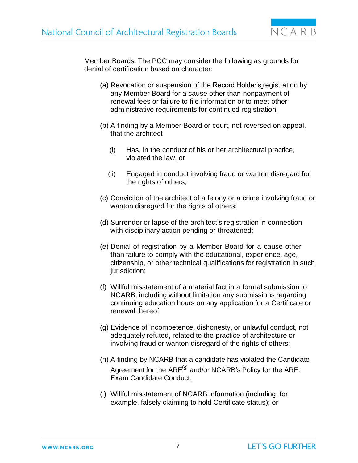

Member Boards. The PCC may consider the following as grounds for denial of certification based on character:

- (a) Revocation or suspension of the Record Holder's registration by any Member Board for a cause other than nonpayment of renewal fees or failure to file information or to meet other administrative requirements for continued registration;
- (b) A finding by a Member Board or court, not reversed on appeal, that the architect
	- (i) Has, in the conduct of his or her architectural practice, violated the law, or
	- (ii) Engaged in conduct involving fraud or wanton disregard for the rights of others;
- (c) Conviction of the architect of a felony or a crime involving fraud or wanton disregard for the rights of others;
- (d) Surrender or lapse of the architect's registration in connection with disciplinary action pending or threatened;
- (e) Denial of registration by a Member Board for a cause other than failure to comply with the educational, experience, age, citizenship, or other technical qualifications for registration in such jurisdiction;
- (f) Willful misstatement of a material fact in a formal submission to NCARB, including without limitation any submissions regarding continuing education hours on any application for a Certificate or renewal thereof;
- (g) Evidence of incompetence, dishonesty, or unlawful conduct, not adequately refuted, related to the practice of architecture or involving fraud or wanton disregard of the rights of others;
- (h) A finding by NCARB that a candidate has violated the Candidate Agreement for the  $ARE^{\textcircled{R}}$  and/or NCARB's Policy for the ARE: Exam Candidate Conduct;
- (i) Willful misstatement of NCARB information (including, for example, falsely claiming to hold Certificate status); or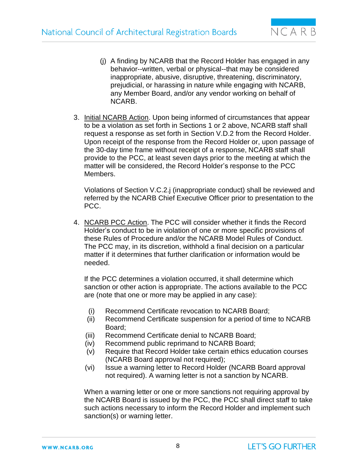

- (j) A finding by NCARB that the Record Holder has engaged in any behavior--written, verbal or physical--that may be considered inappropriate, abusive, disruptive, threatening, discriminatory, prejudicial, or harassing in nature while engaging with NCARB, any Member Board, and/or any vendor working on behalf of NCARB.
- 3. Initial NCARB Action. Upon being informed of circumstances that appear to be a violation as set forth in Sections 1 or 2 above, NCARB staff shall request a response as set forth in Section V.D.2 from the Record Holder. Upon receipt of the response from the Record Holder or, upon passage of the 30-day time frame without receipt of a response, NCARB staff shall provide to the PCC, at least seven days prior to the meeting at which the matter will be considered, the Record Holder's response to the PCC Members.

Violations of Section V.C.2.j (inappropriate conduct) shall be reviewed and referred by the NCARB Chief Executive Officer prior to presentation to the PCC.

4. NCARB PCC Action. The PCC will consider whether it finds the Record Holder's conduct to be in violation of one or more specific provisions of these Rules of Procedure and/or the NCARB Model Rules of Conduct. The PCC may, in its discretion, withhold a final decision on a particular matter if it determines that further clarification or information would be needed.

If the PCC determines a violation occurred, it shall determine which sanction or other action is appropriate. The actions available to the PCC are (note that one or more may be applied in any case):

- (i) Recommend Certificate revocation to NCARB Board;
- (ii) Recommend Certificate suspension for a period of time to NCARB Board;
- (iii) Recommend Certificate denial to NCARB Board;
- (iv) Recommend public reprimand to NCARB Board;
- (v) Require that Record Holder take certain ethics education courses (NCARB Board approval not required);
- (vi) Issue a warning letter to Record Holder (NCARB Board approval not required). A warning letter is not a sanction by NCARB.

When a warning letter or one or more sanctions not requiring approval by the NCARB Board is issued by the PCC, the PCC shall direct staff to take such actions necessary to inform the Record Holder and implement such sanction(s) or warning letter.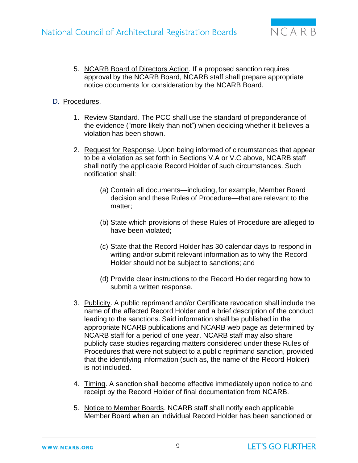

5. NCARB Board of Directors Action. If a proposed sanction requires approval by the NCARB Board, NCARB staff shall prepare appropriate notice documents for consideration by the NCARB Board.

#### D. Procedures.

- 1. Review Standard. The PCC shall use the standard of preponderance of the evidence ("more likely than not") when deciding whether it believes a violation has been shown.
- 2. Request for Response. Upon being informed of circumstances that appear to be a violation as set forth in Sections V.A or V.C above, NCARB staff shall notify the applicable Record Holder of such circumstances. Such notification shall:
	- (a) Contain all documents—including, for example, Member Board decision and these Rules of Procedure—that are relevant to the matter;
	- (b) State which provisions of these Rules of Procedure are alleged to have been violated;
	- (c) State that the Record Holder has 30 calendar days to respond in writing and/or submit relevant information as to why the Record Holder should not be subject to sanctions; and
	- (d) Provide clear instructions to the Record Holder regarding how to submit a written response.
- 3. Publicity. A public reprimand and/or Certificate revocation shall include the name of the affected Record Holder and a brief description of the conduct leading to the sanctions. Said information shall be published in the appropriate NCARB publications and NCARB web page as determined by NCARB staff for a period of one year. NCARB staff may also share publicly case studies regarding matters considered under these Rules of Procedures that were not subject to a public reprimand sanction, provided that the identifying information (such as, the name of the Record Holder) is not included.
- 4. Timing. A sanction shall become effective immediately upon notice to and receipt by the Record Holder of final documentation from NCARB.
- 5. Notice to Member Boards. NCARB staff shall notify each applicable Member Board when an individual Record Holder has been sanctioned or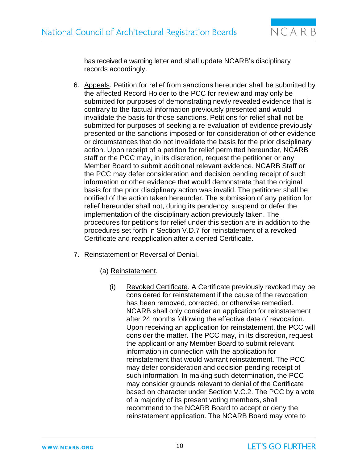

has received a warning letter and shall update NCARB's disciplinary records accordingly.

- 6. Appeals. Petition for relief from sanctions hereunder shall be submitted by the affected Record Holder to the PCC for review and may only be submitted for purposes of demonstrating newly revealed evidence that is contrary to the factual information previously presented and would invalidate the basis for those sanctions. Petitions for relief shall not be submitted for purposes of seeking a re-evaluation of evidence previously presented or the sanctions imposed or for consideration of other evidence or circumstances that do not invalidate the basis for the prior disciplinary action. Upon receipt of a petition for relief permitted hereunder, NCARB staff or the PCC may, in its discretion, request the petitioner or any Member Board to submit additional relevant evidence. NCARB Staff or the PCC may defer consideration and decision pending receipt of such information or other evidence that would demonstrate that the original basis for the prior disciplinary action was invalid. The petitioner shall be notified of the action taken hereunder. The submission of any petition for relief hereunder shall not, during its pendency, suspend or defer the implementation of the disciplinary action previously taken. The procedures for petitions for relief under this section are in addition to the procedures set forth in Section V.D.7 for reinstatement of a revoked Certificate and reapplication after a denied Certificate.
- 7. Reinstatement or Reversal of Denial.
	- (a) Reinstatement.
		- (i) Revoked Certificate. A Certificate previously revoked may be considered for reinstatement if the cause of the revocation has been removed, corrected, or otherwise remedied. NCARB shall only consider an application for reinstatement after 24 months following the effective date of revocation. Upon receiving an application for reinstatement, the PCC will consider the matter. The PCC may, in its discretion, request the applicant or any Member Board to submit relevant information in connection with the application for reinstatement that would warrant reinstatement. The PCC may defer consideration and decision pending receipt of such information. In making such determination, the PCC may consider grounds relevant to denial of the Certificate based on character under Section V.C.2. The PCC by a vote of a majority of its present voting members, shall recommend to the NCARB Board to accept or deny the reinstatement application. The NCARB Board may vote to